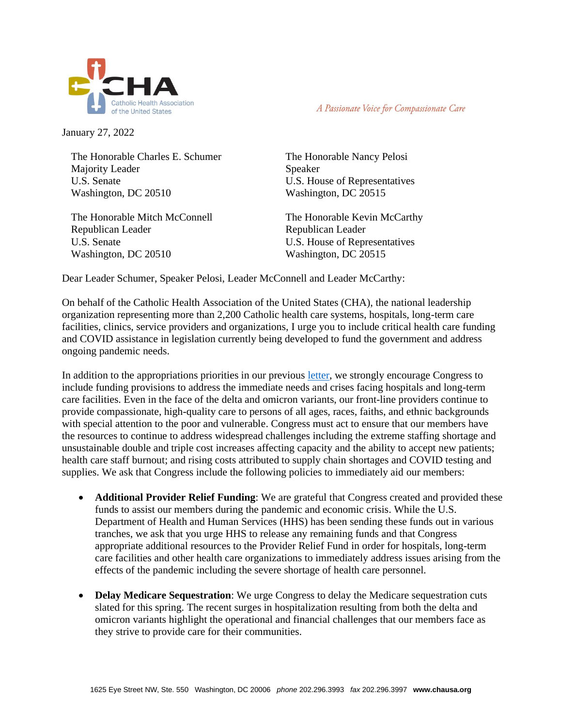

A Passionate Voice for Compassionate Care

January 27, 2022

The Honorable Charles E. Schumer Majority Leader U.S. Senate Washington, DC 20510

The Honorable Mitch McConnell Republican Leader U.S. Senate Washington, DC 20510

The Honorable Nancy Pelosi Speaker U.S. House of Representatives Washington, DC 20515

The Honorable Kevin McCarthy Republican Leader U.S. House of Representatives Washington, DC 20515

Dear Leader Schumer, Speaker Pelosi, Leader McConnell and Leader McCarthy:

On behalf of the Catholic Health Association of the United States (CHA), the national leadership organization representing more than 2,200 Catholic health care systems, hospitals, long-term care facilities, clinics, service providers and organizations, I urge you to include critical health care funding and COVID assistance in legislation currently being developed to fund the government and address ongoing pandemic needs.

In addition to the appropriations priorities in our previous [letter,](https://www.chausa.org/docs/default-source/advocacy/110221-joint-letter-on-hyde-weldon.pdf?sfvrsn=2) we strongly encourage Congress to include funding provisions to address the immediate needs and crises facing hospitals and long-term care facilities. Even in the face of the delta and omicron variants, our front-line providers continue to provide compassionate, high-quality care to persons of all ages, races, faiths, and ethnic backgrounds with special attention to the poor and vulnerable. Congress must act to ensure that our members have the resources to continue to address widespread challenges including the extreme staffing shortage and unsustainable double and triple cost increases affecting capacity and the ability to accept new patients; health care staff burnout; and rising costs attributed to supply chain shortages and COVID testing and supplies. We ask that Congress include the following policies to immediately aid our members:

- **Additional Provider Relief Funding**: We are grateful that Congress created and provided these funds to assist our members during the pandemic and economic crisis. While the U.S. Department of Health and Human Services (HHS) has been sending these funds out in various tranches, we ask that you urge HHS to release any remaining funds and that Congress appropriate additional resources to the Provider Relief Fund in order for hospitals, long-term care facilities and other health care organizations to immediately address issues arising from the effects of the pandemic including the severe shortage of health care personnel.
- **Delay Medicare Sequestration**: We urge Congress to delay the Medicare sequestration cuts slated for this spring. The recent surges in hospitalization resulting from both the delta and omicron variants highlight the operational and financial challenges that our members face as they strive to provide care for their communities.